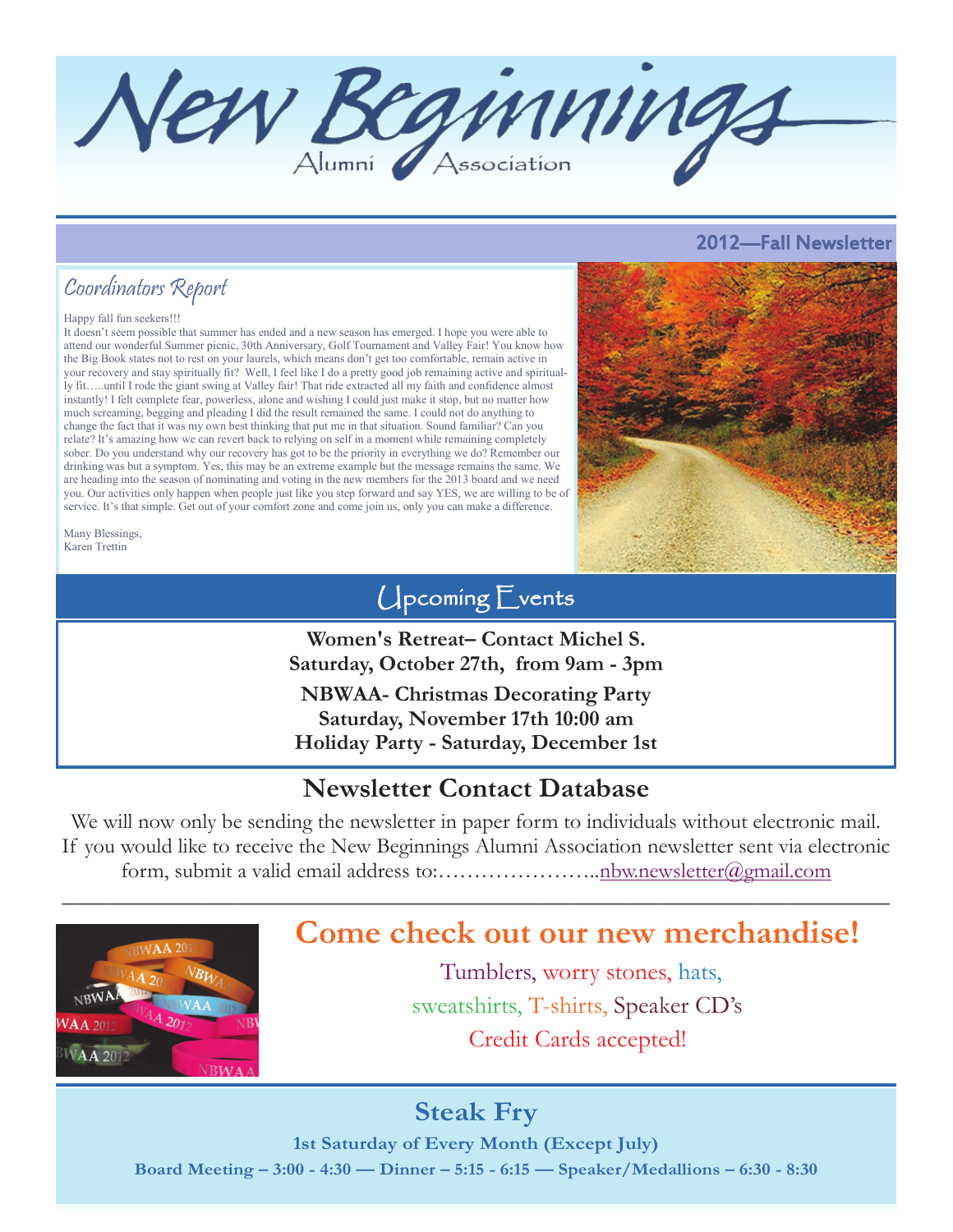New Beginnings

## 2012—Fall Newsletter

## Coordinators Report

#### Happy fall fun seekers!!!

It doesn't seem possible that summer has ended and a new season has emerged. I hope you were able to attend our wonderful Summer picnic, 30th Anniversary, Golf Tournament and Valley Fair! You know how the Big Book states not to rest on your laurels, which means don't get too comfortable, remain active in your recovery and stay spiritually fit? Well, I feel like I do a pretty good job remaining active and spiritually fit…..until I rode the giant swing at Valley fair! That ride extracted all my faith and confidence almost instantly! I felt complete fear, powerless, alone and wishing I could just make it stop, but no matter how much screaming, begging and pleading I did the result remained the same. I could not do anything to change the fact that it was my own best thinking that put me in that situation. Sound familiar? Can you relate? It's amazing how we can revert back to relying on self in a moment while remaining completely sober. Do you understand why our recovery has got to be the priority in everything we do? Remember our drinking was but a symptom. Yes, this may be an extreme example but the message remains the same. We are heading into the season of nominating and voting in the new members for the 2013 board and we need you. Our activities only happen when people just like you step forward and say YES, we are willing to be of service. It's that simple. Get out of your comfort zone and come join us, only you can make a difference.

Many Blessings, Karen Trettin



## Upcoming Events

**Women's Retreat– Contact Michel S. Saturday, October 27th, from 9am - 3pm NBWAA- Christmas Decorating Party Saturday, November 17th 10:00 am Holiday Party - Saturday, December 1st** 

## **Newsletter Contact Database**

We will now only be sending the newsletter in paper form to individuals without electronic mail. If you would like to receive the New Beginnings Alumni Association newsletter sent via electronic form, submit a valid email address to:…………………..[nbw.newsletter@gmail.com](mailto:nbw.newsletter@gmail.com)

\_\_\_\_\_\_\_\_\_\_\_\_\_\_\_\_\_\_\_\_\_\_\_\_\_\_\_\_\_\_\_\_\_\_\_\_\_\_\_\_\_\_\_\_\_\_\_\_\_\_\_\_\_\_\_\_\_\_\_\_\_\_\_\_\_\_\_\_\_\_\_\_\_\_\_\_



## **Come check out our new merchandise!**

Tumblers, worry stones, hats, sweatshirts, T-shirts, Speaker CD's Credit Cards accepted!

## **Steak Fry**

**1st Saturday of Every Month (Except July) Board Meeting – 3:00 - 4:30 — Dinner – 5:15 - 6:15 — Speaker/Medallions – 6:30 - 8:30**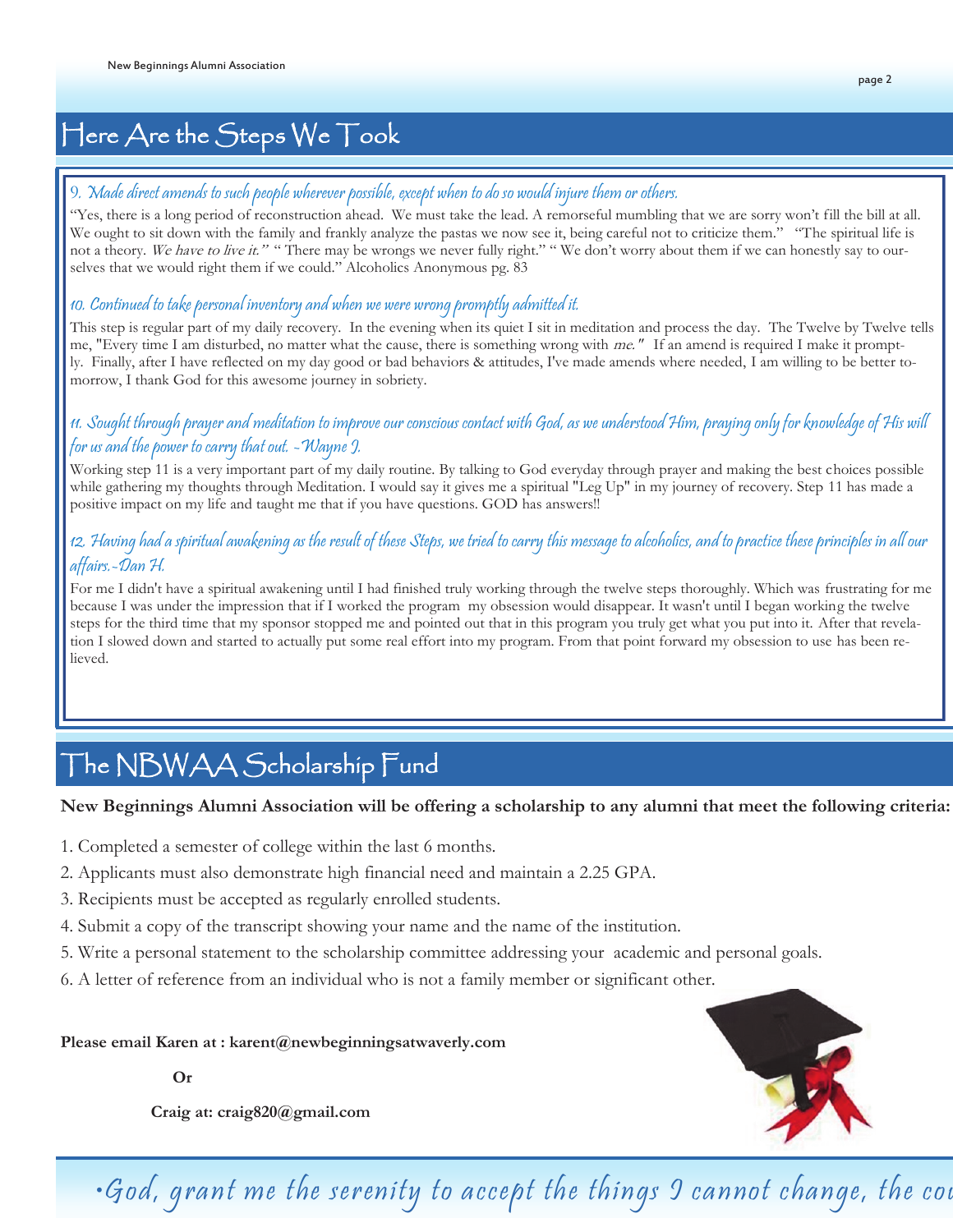## Here Are the Steps We Took

### 9. Made direct amends to such people wherever possible, except when to do so would injure them or others.

"Yes, there is a long period of reconstruction ahead. We must take the lead. A remorseful mumbling that we are sorry won't fill the bill at all. We ought to sit down with the family and frankly analyze the pastas we now see it, being careful not to criticize them." "The spiritual life is not a theory. We have to live it." " There may be wrongs we never fully right." "We don't worry about them if we can honestly say to ourselves that we would right them if we could." Alcoholics Anonymous pg. 83

### 10. Continued to take personal inventory and when we were wrong promptly admitted it.

This step is regular part of my daily recovery. In the evening when its quiet I sit in meditation and process the day. The Twelve by Twelve tells me, "Every time I am disturbed, no matter what the cause, there is something wrong with me." If an amend is required I make it promptly. Finally, after I have reflected on my day good or bad behaviors & attitudes, I've made amends where needed, I am willing to be better tomorrow, I thank God for this awesome journey in sobriety.

### 11. Sought through prayer and meditation to improve our conscious contact with God, as we understood Him, praying only for knowledge of His will for us and the power to carry that out. -Wayne J.

Working step 11 is a very important part of my daily routine. By talking to God everyday through prayer and making the best choices possible while gathering my thoughts through Meditation. I would say it gives me a spiritual "Leg Up" in my journey of recovery. Step 11 has made a positive impact on my life and taught me that if you have questions. GOD has answers!!

## 12. Having had a spiritual awakening as the result of these Steps, we tried to carry this message to alcoholics, and to practice these principles in all our affairs.-Dan H.

For me I didn't have a spiritual awakening until I had finished truly working through the twelve steps thoroughly. Which was frustrating for me because I was under the impression that if I worked the program my obsession would disappear. It wasn't until I began working the twelve steps for the third time that my sponsor stopped me and pointed out that in this program you truly get what you put into it. After that revelation I slowed down and started to actually put some real effort into my program. From that point forward my obsession to use has been relieved.

# The NBWAA Scholarship Fund

#### **New Beginnings Alumni Association will be offering a scholarship to any alumni that meet the following criteria:**

- 1. Completed a semester of college within the last 6 months.
- 2. Applicants must also demonstrate high financial need and maintain a 2.25 GPA.
- 3. Recipients must be accepted as regularly enrolled students.
- 4. Submit a copy of the transcript showing your name and the name of the institution.
- 5. Write a personal statement to the scholarship committee addressing your academic and personal goals.
- 6. A letter of reference from an individual who is not a family member or significant other.

**Please email Karen at : karent@newbeginningsatwaverly.com** 

#### **Or**

 **Craig at: craig820@gmail.com**



 $\cdot$ God, grant me the serenity to accept the things I cannot change, the cou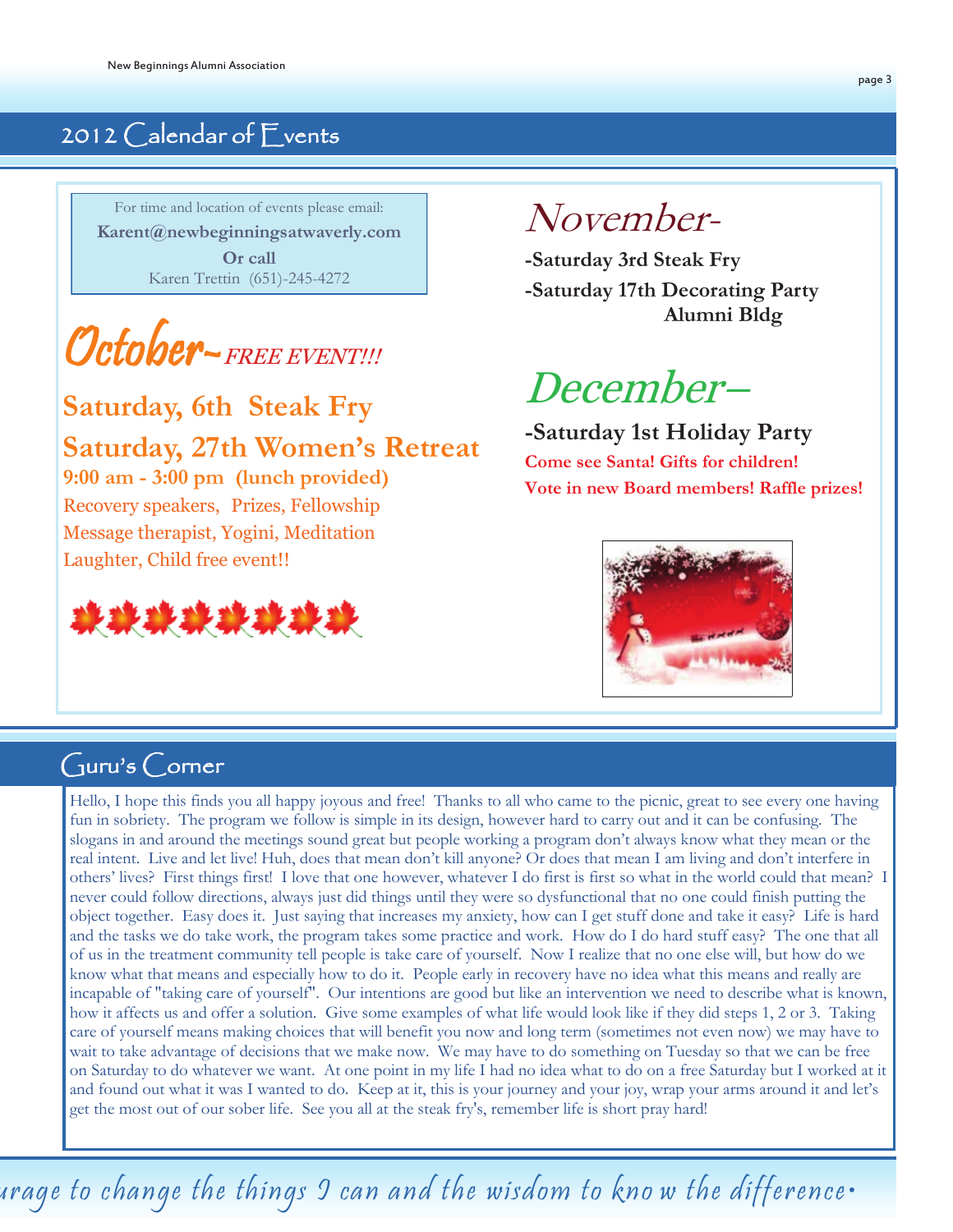# 2012 Calendar of Events

For time and location of events please email: **Karent@newbeginningsatwaverly.com Or call** Karen Trettin (651)-245-4272

October-FREE EVENT !!!

**Saturday, 6th Steak Fry Saturday, 27th Women's Retreat 9:00 am - 3:00 pm (lunch provided)** Recovery speakers, Prizes, Fellowship Message therapist, Yogini, Meditation Laughter, Child free event!!



# November-

**-Saturday 3rd Steak Fry -Saturday 17th Decorating Party Alumni Bldg**

# December–

**-Saturday 1st Holiday Party Come see Santa! Gifts for children! Vote in new Board members! Raffle prizes!**



## $Guru's$  Corner

Hello, I hope this finds you all happy joyous and free! Thanks to all who came to the picnic, great to see every one having fun in sobriety. The program we follow is simple in its design, however hard to carry out and it can be confusing. The slogans in and around the meetings sound great but people working a program don't always know what they mean or the real intent. Live and let live! Huh, does that mean don't kill anyone? Or does that mean I am living and don't interfere in others' lives? First things first! I love that one however, whatever I do first is first so what in the world could that mean? I never could follow directions, always just did things until they were so dysfunctional that no one could finish putting the object together. Easy does it. Just saying that increases my anxiety, how can I get stuff done and take it easy? Life is hard and the tasks we do take work, the program takes some practice and work. How do I do hard stuff easy? The one that all of us in the treatment community tell people is take care of yourself. Now I realize that no one else will, but how do we know what that means and especially how to do it. People early in recovery have no idea what this means and really are incapable of "taking care of yourself". Our intentions are good but like an intervention we need to describe what is known, how it affects us and offer a solution. Give some examples of what life would look like if they did steps 1, 2 or 3. Taking care of yourself means making choices that will benefit you now and long term (sometimes not even now) we may have to wait to take advantage of decisions that we make now. We may have to do something on Tuesday so that we can be free on Saturday to do whatever we want. At one point in my life I had no idea what to do on a free Saturday but I worked at it and found out what it was I wanted to do. Keep at it, this is your journey and your joy, wrap your arms around it and let's get the most out of our sober life. See you all at the steak fry's, remember life is short pray hard!

urage to change the things I can and the wisdom to kno w the difference•